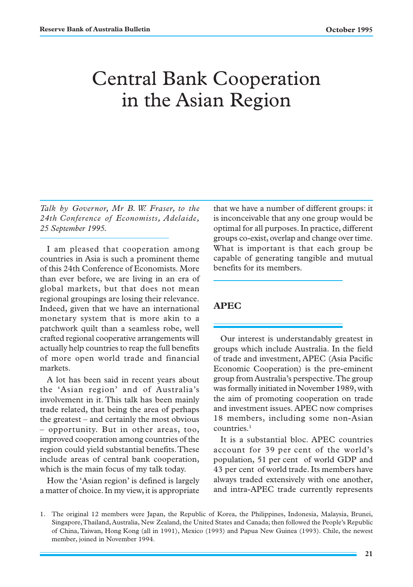# Central Bank Cooperation in the Asian Region

*Talk by Governor, Mr B. W. Fraser, to the 24th Conference of Economists, Adelaide, 25 September 1995.*

I am pleased that cooperation among countries in Asia is such a prominent theme of this 24th Conference of Economists. More than ever before, we are living in an era of global markets, but that does not mean regional groupings are losing their relevance. Indeed, given that we have an international monetary system that is more akin to a patchwork quilt than a seamless robe, well crafted regional cooperative arrangements will actually help countries to reap the full benefits of more open world trade and financial markets.

A lot has been said in recent years about the 'Asian region' and of Australia's involvement in it. This talk has been mainly trade related, that being the area of perhaps the greatest – and certainly the most obvious – opportunity. But in other areas, too, improved cooperation among countries of the region could yield substantial benefits. These include areas of central bank cooperation, which is the main focus of my talk today.

How the 'Asian region' is defined is largely a matter of choice. In my view, it is appropriate

that we have a number of different groups: it is inconceivable that any one group would be optimal for all purposes. In practice, different groups co-exist, overlap and change over time. What is important is that each group be capable of generating tangible and mutual benefits for its members.

## **APEC**

Our interest is understandably greatest in groups which include Australia. In the field of trade and investment, APEC (Asia Pacific Economic Cooperation) is the pre-eminent group from Australia's perspective. The group was formally initiated in November 1989, with the aim of promoting cooperation on trade and investment issues. APEC now comprises 18 members, including some non-Asian countries.<sup>1</sup>

It is a substantial bloc. APEC countries account for 39 per cent of the world's population, 51 per cent of world GDP and 43 per cent of world trade. Its members have always traded extensively with one another, and intra-APEC trade currently represents

<sup>1.</sup> The original 12 members were Japan, the Republic of Korea, the Philippines, Indonesia, Malaysia, Brunei, Singapore, Thailand, Australia, New Zealand, the United States and Canada; then followed the People's Republic of China, Taiwan, Hong Kong (all in 1991), Mexico (1993) and Papua New Guinea (1993). Chile, the newest member, joined in November 1994.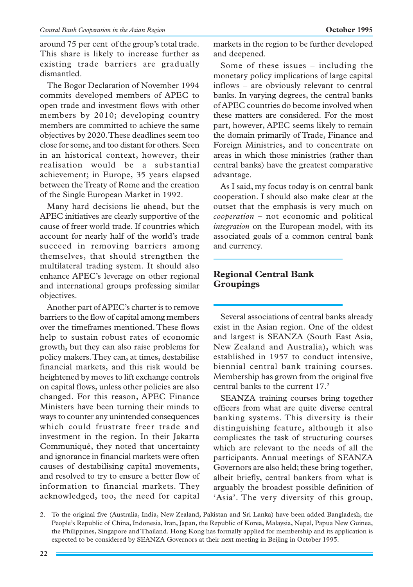around 75 per cent of the group's total trade. This share is likely to increase further as existing trade barriers are gradually dismantled.

The Bogor Declaration of November 1994 commits developed members of APEC to open trade and investment flows with other members by 2010; developing country members are committed to achieve the same objectives by 2020. These deadlines seem too close for some, and too distant for others. Seen in an historical context, however, their realisation would be a substantial achievement; in Europe, 35 years elapsed between the Treaty of Rome and the creation of the Single European Market in 1992.

Many hard decisions lie ahead, but the APEC initiatives are clearly supportive of the cause of freer world trade. If countries which account for nearly half of the world's trade succeed in removing barriers among themselves, that should strengthen the multilateral trading system. It should also enhance APEC's leverage on other regional and international groups professing similar objectives.

Another part of APEC's charter is to remove barriers to the flow of capital among members over the timeframes mentioned. These flows help to sustain robust rates of economic growth, but they can also raise problems for policy makers. They can, at times, destabilise financial markets, and this risk would be heightened by moves to lift exchange controls on capital flows, unless other policies are also changed. For this reason, APEC Finance Ministers have been turning their minds to ways to counter any unintended consequences which could frustrate freer trade and investment in the region. In their Jakarta Communiqué, they noted that uncertainty and ignorance in financial markets were often causes of destabilising capital movements, and resolved to try to ensure a better flow of information to financial markets. They acknowledged, too, the need for capital markets in the region to be further developed and deepened.

Some of these issues – including the monetary policy implications of large capital inflows – are obviously relevant to central banks. In varying degrees, the central banks of APEC countries do become involved when these matters are considered. For the most part, however, APEC seems likely to remain the domain primarily of Trade, Finance and Foreign Ministries, and to concentrate on areas in which those ministries (rather than central banks) have the greatest comparative advantage.

As I said, my focus today is on central bank cooperation. I should also make clear at the outset that the emphasis is very much on *cooperation* – not economic and political *integration* on the European model, with its associated goals of a common central bank and currency.

# **Regional Central Bank Groupings**

Several associations of central banks already exist in the Asian region. One of the oldest and largest is SEANZA (South East Asia, New Zealand and Australia), which was established in 1957 to conduct intensive, biennial central bank training courses. Membership has grown from the original five central banks to the current 17.<sup>2</sup>

SEANZA training courses bring together officers from what are quite diverse central banking systems. This diversity is their distinguishing feature, although it also complicates the task of structuring courses which are relevant to the needs of all the participants. Annual meetings of SEANZA Governors are also held; these bring together, albeit briefly, central bankers from what is arguably the broadest possible definition of 'Asia'. The very diversity of this group,

<sup>2.</sup> To the original five (Australia, India, New Zealand, Pakistan and Sri Lanka) have been added Bangladesh, the People's Republic of China, Indonesia, Iran, Japan, the Republic of Korea, Malaysia, Nepal, Papua New Guinea, the Philippines, Singapore and Thailand. Hong Kong has formally applied for membership and its application is expected to be considered by SEANZA Governors at their next meeting in Beijing in October 1995.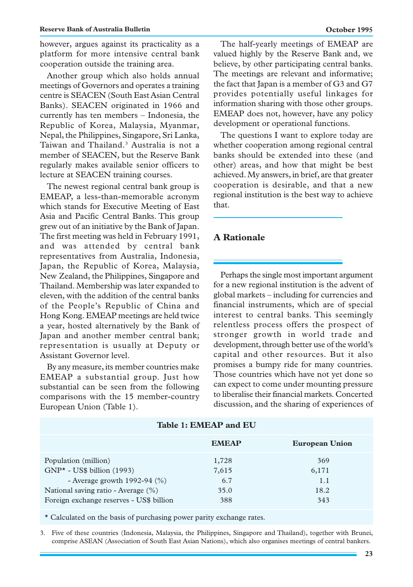however, argues against its practicality as a platform for more intensive central bank cooperation outside the training area.

Another group which also holds annual meetings of Governors and operates a training centre is SEACEN (South East Asian Central Banks). SEACEN originated in 1966 and currently has ten members – Indonesia, the Republic of Korea, Malaysia, Myanmar, Nepal, the Philippines, Singapore, Sri Lanka, Taiwan and Thailand.3 Australia is not a member of SEACEN, but the Reserve Bank regularly makes available senior officers to lecture at SEACEN training courses.

The newest regional central bank group is EMEAP, a less-than-memorable acronym which stands for Executive Meeting of East Asia and Pacific Central Banks. This group grew out of an initiative by the Bank of Japan. The first meeting was held in February 1991, and was attended by central bank representatives from Australia, Indonesia, Japan, the Republic of Korea, Malaysia, New Zealand, the Philippines, Singapore and Thailand. Membership was later expanded to eleven, with the addition of the central banks of the People's Republic of China and Hong Kong. EMEAP meetings are held twice a year, hosted alternatively by the Bank of Japan and another member central bank; representation is usually at Deputy or Assistant Governor level.

By any measure, its member countries make EMEAP a substantial group. Just how substantial can be seen from the following comparisons with the 15 member-country European Union (Table 1).

The half-yearly meetings of EMEAP are valued highly by the Reserve Bank and, we believe, by other participating central banks. The meetings are relevant and informative; the fact that Japan is a member of G3 and G7 provides potentially useful linkages for information sharing with those other groups. EMEAP does not, however, have any policy development or operational functions.

The questions I want to explore today are whether cooperation among regional central banks should be extended into these (and other) areas, and how that might be best achieved. My answers, in brief, are that greater cooperation is desirable, and that a new regional institution is the best way to achieve that.

## **A Rationale**

Perhaps the single most important argument for a new regional institution is the advent of global markets – including for currencies and financial instruments, which are of special interest to central banks. This seemingly relentless process offers the prospect of stronger growth in world trade and development, through better use of the world's capital and other resources. But it also promises a bumpy ride for many countries. Those countries which have not yet done so can expect to come under mounting pressure to liberalise their financial markets. Concerted discussion, and the sharing of experiences of

| Table 1: EMEAP and EU                                                                                                                                                             |                                      |                                    |  |  |
|-----------------------------------------------------------------------------------------------------------------------------------------------------------------------------------|--------------------------------------|------------------------------------|--|--|
|                                                                                                                                                                                   | <b>EMEAP</b>                         | <b>European Union</b>              |  |  |
| Population (million)<br>$GNP^{\star}$ - US\$ billion (1993)<br>- Average growth 1992-94 $(\%)$<br>National saving ratio - Average (%)<br>Foreign exchange reserves - US\$ billion | 1,728<br>7,615<br>6.7<br>35.0<br>388 | 369<br>6,171<br>1.1<br>18.2<br>343 |  |  |

\* Calculated on the basis of purchasing power parity exchange rates.

3. Five of these countries (Indonesia, Malaysia, the Philippines, Singapore and Thailand), together with Brunei, comprise ASEAN (Association of South East Asian Nations), which also organises meetings of central bankers.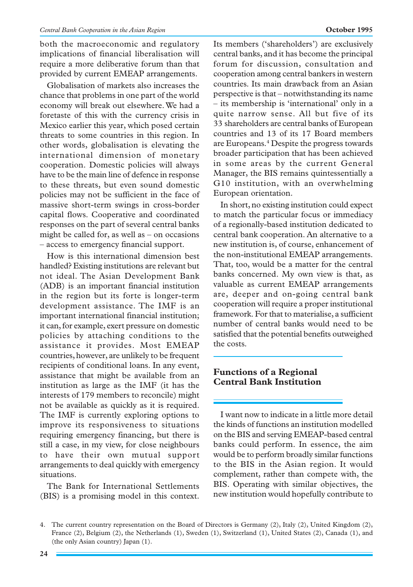both the macroeconomic and regulatory implications of financial liberalisation will require a more deliberative forum than that provided by current EMEAP arrangements.

Globalisation of markets also increases the chance that problems in one part of the world economy will break out elsewhere. We had a foretaste of this with the currency crisis in Mexico earlier this year, which posed certain threats to some countries in this region. In other words, globalisation is elevating the international dimension of monetary cooperation. Domestic policies will always have to be the main line of defence in response to these threats, but even sound domestic policies may not be sufficient in the face of massive short-term swings in cross-border capital flows. Cooperative and coordinated responses on the part of several central banks might be called for, as well as – on occasions – access to emergency financial support.

How is this international dimension best handled? Existing institutions are relevant but not ideal. The Asian Development Bank (ADB) is an important financial institution in the region but its forte is longer-term development assistance. The IMF is an important international financial institution; it can, for example, exert pressure on domestic policies by attaching conditions to the assistance it provides. Most EMEAP countries, however, are unlikely to be frequent recipients of conditional loans. In any event, assistance that might be available from an institution as large as the IMF (it has the interests of 179 members to reconcile) might not be available as quickly as it is required. The IMF is currently exploring options to improve its responsiveness to situations requiring emergency financing, but there is still a case, in my view, for close neighbours to have their own mutual support arrangements to deal quickly with emergency situations.

The Bank for International Settlements (BIS) is a promising model in this context.

Its members ('shareholders') are exclusively central banks, and it has become the principal forum for discussion, consultation and cooperation among central bankers in western countries. Its main drawback from an Asian perspective is that – notwithstanding its name – its membership is 'international' only in a quite narrow sense. All but five of its 33 shareholders are central banks of European countries and 13 of its 17 Board members are Europeans.<sup>4</sup> Despite the progress towards broader participation that has been achieved in some areas by the current General Manager, the BIS remains quintessentially a G10 institution, with an overwhelming European orientation.

In short, no existing institution could expect to match the particular focus or immediacy of a regionally-based institution dedicated to central bank cooperation. An alternative to a new institution is, of course, enhancement of the non-institutional EMEAP arrangements. That, too, would be a matter for the central banks concerned. My own view is that, as valuable as current EMEAP arrangements are, deeper and on-going central bank cooperation will require a proper institutional framework. For that to materialise, a sufficient number of central banks would need to be satisfied that the potential benefits outweighed the costs.

# **Functions of a Regional Central Bank Institution**

I want now to indicate in a little more detail the kinds of functions an institution modelled on the BIS and serving EMEAP-based central banks could perform. In essence, the aim would be to perform broadly similar functions to the BIS in the Asian region. It would complement, rather than compete with, the BIS. Operating with similar objectives, the new institution would hopefully contribute to

<sup>4.</sup> The current country representation on the Board of Directors is Germany (2), Italy (2), United Kingdom (2), France (2), Belgium (2), the Netherlands (1), Sweden (1), Switzerland (1), United States (2), Canada (1), and (the only Asian country) Japan (1).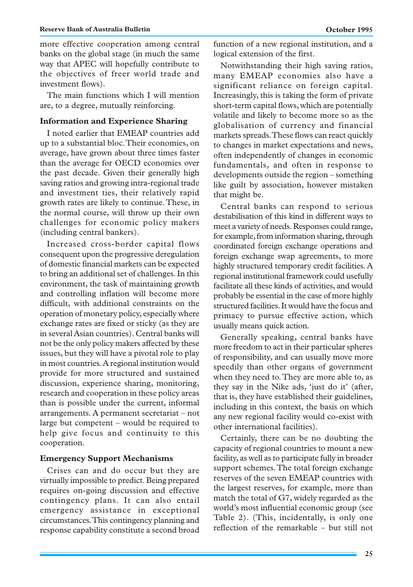more effective cooperation among central banks on the global stage (in much the same way that APEC will hopefully contribute to the objectives of freer world trade and investment flows).

The main functions which I will mention are, to a degree, mutually reinforcing.

#### **Information and Experience Sharing**

I noted earlier that EMEAP countries add up to a substantial bloc. Their economies, on average, have grown about three times faster than the average for OECD economies over the past decade. Given their generally high saving ratios and growing intra-regional trade and investment ties, their relatively rapid growth rates are likely to continue. These, in the normal course, will throw up their own challenges for economic policy makers (including central bankers).

Increased cross-border capital flows consequent upon the progressive deregulation of domestic financial markets can be expected to bring an additional set of challenges. In this environment, the task of maintaining growth and controlling inflation will become more difficult, with additional constraints on the operation of monetary policy, especially where exchange rates are fixed or sticky (as they are in several Asian countries). Central banks will not be the only policy makers affected by these issues, but they will have a pivotal role to play in most countries. A regional institution would provide for more structured and sustained discussion, experience sharing, monitoring, research and cooperation in these policy areas than is possible under the current, informal arrangements. A permanent secretariat – not large but competent – would be required to help give focus and continuity to this cooperation.

#### **Emergency Support Mechanisms**

Crises can and do occur but they are virtually impossible to predict. Being prepared requires on-going discussion and effective contingency plans. It can also entail emergency assistance in exceptional circumstances. This contingency planning and response capability constitute a second broad function of a new regional institution, and a logical extension of the first.

Notwithstanding their high saving ratios, many EMEAP economies also have a significant reliance on foreign capital. Increasingly, this is taking the form of private short-term capital flows, which are potentially volatile and likely to become more so as the globalisation of currency and financial markets spreads. These flows can react quickly to changes in market expectations and news, often independently of changes in economic fundamentals, and often in response to developments outside the region – something like guilt by association, however mistaken that might be.

Central banks can respond to serious destabilisation of this kind in different ways to meet a variety of needs. Responses could range, for example, from information sharing, through coordinated foreign exchange operations and foreign exchange swap agreements, to more highly structured temporary credit facilities. A regional institutional framework could usefully facilitate all these kinds of activities, and would probably be essential in the case of more highly structured facilities. It would have the focus and primacy to pursue effective action, which usually means quick action.

Generally speaking, central banks have more freedom to act in their particular spheres of responsibility, and can usually move more speedily than other organs of government when they need to. They are more able to, as they say in the Nike ads, 'just do it' (after, that is, they have established their guidelines, including in this context, the basis on which any new regional facility would co-exist with other international facilities).

Certainly, there can be no doubting the capacity of regional countries to mount a new facility, as well as to participate fully in broader support schemes. The total foreign exchange reserves of the seven EMEAP countries with the largest reserves, for example, more than match the total of G7, widely regarded as the world's most influential economic group (see Table 2). (This, incidentally, is only one reflection of the remarkable – but still not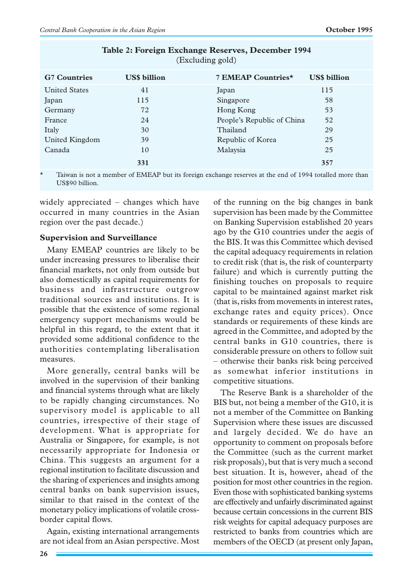| (Excluding gold)     |                     |                            |                     |  |
|----------------------|---------------------|----------------------------|---------------------|--|
| <b>G7 Countries</b>  | <b>US\$</b> billion | 7 EMEAP Countries*         | <b>US\$</b> billion |  |
| <b>United States</b> | 41                  | Japan                      | 115                 |  |
| Japan                | 115                 | Singapore                  | 58                  |  |
| Germany              | 72                  | Hong Kong                  | 53                  |  |
| France               | 24                  | People's Republic of China | 52                  |  |
| Italy                | 30                  | Thailand                   | 29                  |  |
| United Kingdom       | 39                  | Republic of Korea          | 25                  |  |
| Canada               | 10                  | Malaysia                   | 25                  |  |
|                      | 331                 |                            | 357                 |  |

**Table 2: Foreign Exchange Reserves, December 1994**

Taiwan is not a member of EMEAP but its foreign exchange reserves at the end of 1994 totalled more than US\$90 billion.

widely appreciated – changes which have occurred in many countries in the Asian region over the past decade.)

#### **Supervision and Surveillance**

Many EMEAP countries are likely to be under increasing pressures to liberalise their financial markets, not only from outside but also domestically as capital requirements for business and infrastructure outgrow traditional sources and institutions. It is possible that the existence of some regional emergency support mechanisms would be helpful in this regard, to the extent that it provided some additional confidence to the authorities contemplating liberalisation measures.

More generally, central banks will be involved in the supervision of their banking and financial systems through what are likely to be rapidly changing circumstances. No supervisory model is applicable to all countries, irrespective of their stage of development. What is appropriate for Australia or Singapore, for example, is not necessarily appropriate for Indonesia or China. This suggests an argument for a regional institution to facilitate discussion and the sharing of experiences and insights among central banks on bank supervision issues, similar to that raised in the context of the monetary policy implications of volatile crossborder capital flows.

Again, existing international arrangements are not ideal from an Asian perspective. Most of the running on the big changes in bank supervision has been made by the Committee on Banking Supervision established 20 years ago by the G10 countries under the aegis of the BIS. It was this Committee which devised the capital adequacy requirements in relation to credit risk (that is, the risk of counterparty failure) and which is currently putting the finishing touches on proposals to require capital to be maintained against market risk (that is, risks from movements in interest rates, exchange rates and equity prices). Once standards or requirements of these kinds are agreed in the Committee, and adopted by the central banks in G10 countries, there is considerable pressure on others to follow suit – otherwise their banks risk being perceived as somewhat inferior institutions in competitive situations.

The Reserve Bank is a shareholder of the BIS but, not being a member of the G10, it is not a member of the Committee on Banking Supervision where these issues are discussed and largely decided. We do have an opportunity to comment on proposals before the Committee (such as the current market risk proposals), but that is very much a second best situation. It is, however, ahead of the position for most other countries in the region. Even those with sophisticated banking systems are effectively and unfairly discriminated against because certain concessions in the current BIS risk weights for capital adequacy purposes are restricted to banks from countries which are members of the OECD (at present only Japan,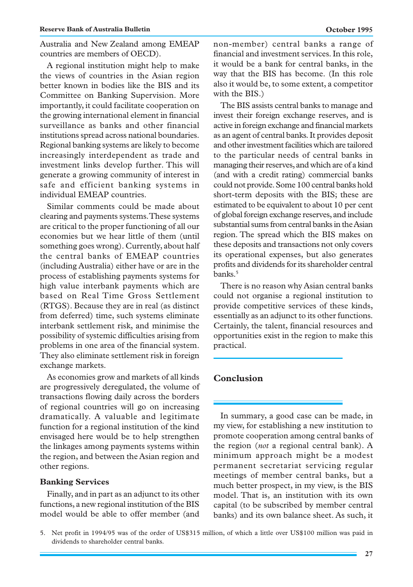Australia and New Zealand among EMEAP countries are members of OECD).

A regional institution might help to make the views of countries in the Asian region better known in bodies like the BIS and its Committee on Banking Supervision. More importantly, it could facilitate cooperation on the growing international element in financial surveillance as banks and other financial institutions spread across national boundaries. Regional banking systems are likely to become increasingly interdependent as trade and investment links develop further. This will generate a growing community of interest in safe and efficient banking systems in individual EMEAP countries.

Similar comments could be made about clearing and payments systems. These systems are critical to the proper functioning of all our economies but we hear little of them (until something goes wrong). Currently, about half the central banks of EMEAP countries (including Australia) either have or are in the process of establishing payments systems for high value interbank payments which are based on Real Time Gross Settlement (RTGS). Because they are in real (as distinct from deferred) time, such systems eliminate interbank settlement risk, and minimise the possibility of systemic difficulties arising from problems in one area of the financial system. They also eliminate settlement risk in foreign exchange markets.

As economies grow and markets of all kinds are progressively deregulated, the volume of transactions flowing daily across the borders of regional countries will go on increasing dramatically. A valuable and legitimate function for a regional institution of the kind envisaged here would be to help strengthen the linkages among payments systems within the region, and between the Asian region and other regions.

#### **Banking Services**

Finally, and in part as an adjunct to its other functions, a new regional institution of the BIS model would be able to offer member (and non-member) central banks a range of financial and investment services. In this role, it would be a bank for central banks, in the way that the BIS has become. (In this role also it would be, to some extent, a competitor with the BIS.)

The BIS assists central banks to manage and invest their foreign exchange reserves, and is active in foreign exchange and financial markets as an agent of central banks. It provides deposit and other investment facilities which are tailored to the particular needs of central banks in managing their reserves, and which are of a kind (and with a credit rating) commercial banks could not provide. Some 100 central banks hold short-term deposits with the BIS; these are estimated to be equivalent to about 10 per cent of global foreign exchange reserves, and include substantial sums from central banks in the Asian region. The spread which the BIS makes on these deposits and transactions not only covers its operational expenses, but also generates profits and dividends for its shareholder central banks.<sup>5</sup>

There is no reason why Asian central banks could not organise a regional institution to provide competitive services of these kinds, essentially as an adjunct to its other functions. Certainly, the talent, financial resources and opportunities exist in the region to make this practical.

## **Conclusion**

In summary, a good case can be made, in my view, for establishing a new institution to promote cooperation among central banks of the region (*not* a regional central bank). A minimum approach might be a modest permanent secretariat servicing regular meetings of member central banks, but a much better prospect, in my view, is the BIS model. That is, an institution with its own capital (to be subscribed by member central banks) and its own balance sheet. As such, it

<sup>5.</sup> Net profit in 1994/95 was of the order of US\$315 million, of which a little over US\$100 million was paid in dividends to shareholder central banks.